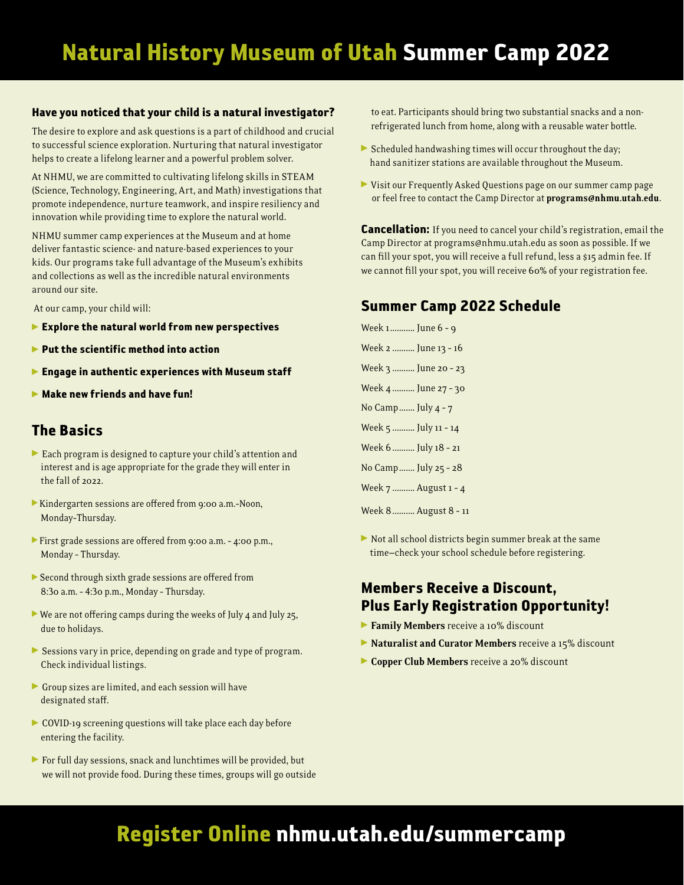#### Have you noticed that your child is a natural investigator?

The desire to explore and ask questions is a part of childhood and crucial to successful science exploration. Nurturing that natural investigator helps to create a lifelong learner and a powerful problem solver.

At NHMU, we are committed to cultivating lifelong skills in STEAM (Science, Technology, Engineering, Art, and Math) investigations that promote independence, nurture teamwork, and inspire resiliency and innovation while providing time to explore the natural world.

NHMU summer camp experiences at the Museum and at home deliver fantastic science- and nature-based experiences to your kids. Our programs take full advantage of the Museum's exhibits and collections as well as the incredible natural environments around our site.

At our camp, your child will:

- $\blacktriangleright$  Explore the natural world from new perspectives
- $\blacktriangleright$  Put the scientific method into action
- **Engage in authentic experiences with Museum staff**
- $\blacktriangleright$  Make new friends and have fun!

# The Basics

- Each program is designed to capture your child's attention and interest and is age appropriate for the grade they will enter in the fall of 2022.
- Kindergarten sessions are offered from 9:00 a.m.-Noon, Monday–Thursday.
- First grade sessions are offered from 9:00 a.m. 4:00 p.m., Monday – Thursday.
- Second through sixth grade sessions are offered from 8:30 a.m. – 4:30 p.m., Monday – Thursday.
- $\triangleright$  We are not offering camps during the weeks of July 4 and July 25, due to holidays.
- Sessions vary in price, depending on grade and type of program. Check individual listings.
- Group sizes are limited, and each session will have designated staff.
- COVID-19 screening questions will take place each day before entering the facility.
- For full day sessions, snack and lunchtimes will be provided, but we will not provide food. During these times, groups will go outside

to eat. Participants should bring two substantial snacks and a nonrefrigerated lunch from home, along with a reusable water bottle.

- $\triangleright$  Scheduled handwashing times will occur throughout the day; hand sanitizer stations are available throughout the Museum.
- Visit our Frequently Asked Questions page on our summer camp page or feel free to contact the Camp Director at programs@nhmu.utah.edu.

**Cancellation:** If you need to cancel your child's registration, email the Camp Director at programs@nhmu.utah.edu as soon as possible. If we can fill your spot, you will receive a full refund, less a \$15 admin fee. If we cannot fill your spot, you will receive 60% of your registration fee.

# Summer Camp 2022 Schedule

Week 1........... June 6 – 9 Week 2 .......... June 13 – 16 Week 3 .......... June 20 – 23 Week 4 .......... June 27 – 30 No Camp....... July 4 – 7 Week 5 .......... July 11 - 14 Week 6.......... July 18 – 21 No Camp....... July 25 – 28 Week 7 .......... August 1 – 4 Week 8.......... August 8 – 11

 $\triangleright$  Not all school districts begin summer break at the same time—check your school schedule before registering.

# Members Receive a Discount, Plus Early Registration Opportunity!

- **Family Members** receive a 10% discount
- Naturalist and Curator Members receive a 15% discount
- Copper Club Members receive a 20% discount

# Register Online nhmu.utah.edu/summercamp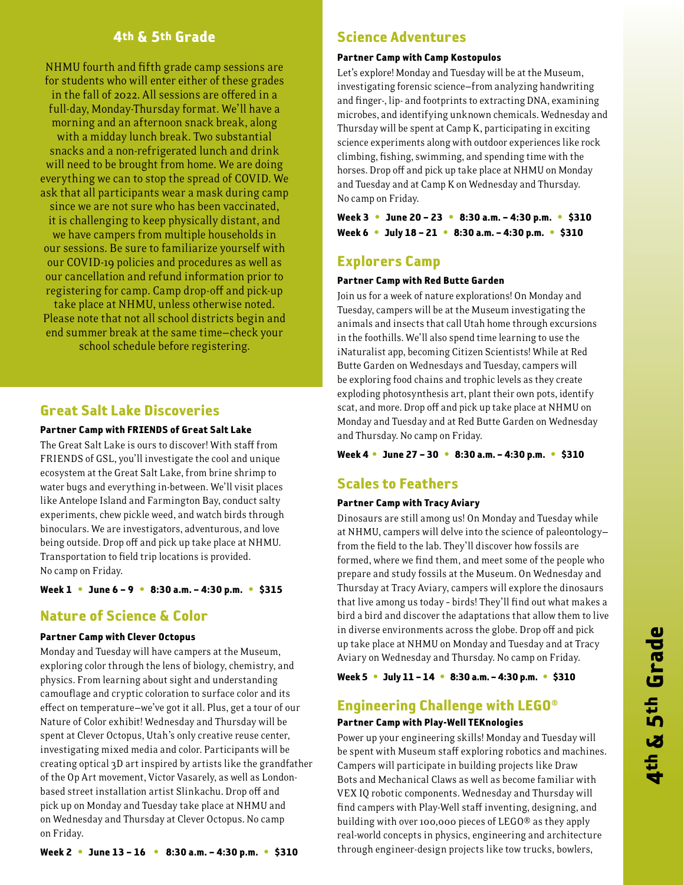## 4th & 5th Grade

NHMU fourth and fifth grade camp sessions are for students who will enter either of these grades in the fall of 2022. All sessions are offered in a full-day, Monday-Thursday format. We'll have a morning and an afternoon snack break, along with a midday lunch break. Two substantial snacks and a non-refrigerated lunch and drink will need to be brought from home. We are doing everything we can to stop the spread of COVID. We ask that all participants wear a mask during camp since we are not sure who has been vaccinated, it is challenging to keep physically distant, and we have campers from multiple households in our sessions. Be sure to familiarize yourself with our COVID-19 policies and procedures as well as our cancellation and refund information prior to registering for camp. Camp drop-off and pick-up take place at NHMU, unless otherwise noted.

Please note that not all school districts begin and end summer break at the same time—check your school schedule before registering.

# Great Salt Lake Discoveries

#### Partner Camp with FRIENDS of Great Salt Lake

The Great Salt Lake is ours to discover! With staff from FRIENDS of GSL, you'll investigate the cool and unique ecosystem at the Great Salt Lake, from brine shrimp to water bugs and everything in-between. We'll visit places like Antelope Island and Farmington Bay, conduct salty experiments, chew pickle weed, and watch birds through binoculars. We are investigators, adventurous, and love being outside. Drop off and pick up take place at NHMU. Transportation to field trip locations is provided. No camp on Friday.

#### Week 1 **•** June 6 – 9 **•** 8:30 a.m. – 4:30 p.m. **•** \$315

# Nature of Science & Color

#### Partner Camp with Clever Octopus

Monday and Tuesday will have campers at the Museum, exploring color through the lens of biology, chemistry, and physics. From learning about sight and understanding camouflage and cryptic coloration to surface color and its effect on temperature—we've got it all. Plus, get a tour of our Nature of Color exhibit! Wednesday and Thursday will be spent at Clever Octopus, Utah's only creative reuse center, investigating mixed media and color. Participants will be creating optical 3D art inspired by artists like the grandfather of the Op Art movement, Victor Vasarely, as well as Londonbased street installation artist Slinkachu. Drop off and pick up on Monday and Tuesday take place at NHMU and on Wednesday and Thursday at Clever Octopus. No camp on Friday.

# Science Adventures

#### Partner Camp with Camp Kostopulos

Let's explore! Monday and Tuesday will be at the Museum, investigating forensic science—from analyzing handwriting and finger-, lip- and footprints to extracting DNA, examining microbes, and identifying unknown chemicals. Wednesday and Thursday will be spent at Camp K, participating in exciting science experiments along with outdoor experiences like rock climbing, fishing, swimming, and spending time with the horses. Drop off and pick up take place at NHMU on Monday and Tuesday and at Camp K on Wednesday and Thursday. No camp on Friday.

Week 3 **•** June 20 – 23 **•** 8:30 a.m. – 4:30 p.m. **•** \$310 Week 6 **•** July 18 – 21 **•** 8:30 a.m. – 4:30 p.m. **•** \$310

# Explorers Camp

#### Partner Camp with Red Butte Garden

Join us for a week of nature explorations! On Monday and Tuesday, campers will be at the Museum investigating the animals and insects that call Utah home through excursions in the foothills. We'll also spend time learning to use the iNaturalist app, becoming Citizen Scientists! While at Red Butte Garden on Wednesdays and Tuesday, campers will be exploring food chains and trophic levels as they create exploding photosynthesis art, plant their own pots, identify scat, and more. Drop off and pick up take place at NHMU on Monday and Tuesday and at Red Butte Garden on Wednesday and Thursday. No camp on Friday.

#### Week 4 **•** June 27 – 30 **•** 8:30 a.m. – 4:30 p.m. **•** \$310

### Scales to Feathers

#### Partner Camp with Tracy Aviary

Dinosaurs are still among us! On Monday and Tuesday while at NHMU, campers will delve into the science of paleontology from the field to the lab. They'll discover how fossils are formed, where we find them, and meet some of the people who prepare and study fossils at the Museum. On Wednesday and Thursday at Tracy Aviary, campers will explore the dinosaurs that live among us today – birds! They'll find out what makes a bird a bird and discover the adaptations that allow them to live in diverse environments across the globe. Drop off and pick up take place at NHMU on Monday and Tuesday and at Tracy Aviary on Wednesday and Thursday. No camp on Friday.

Week 5 **•** July 11 – 14 **•** 8:30 a.m. – 4:30 p.m. **•** \$310

# Engineering Challenge with LEGO®

#### Partner Camp with Play-Well TEKnologies

Power up your engineering skills! Monday and Tuesday will be spent with Museum staff exploring robotics and machines. Campers will participate in building projects like Draw Bots and Mechanical Claws as well as become familiar with VEX IQ robotic components. Wednesday and Thursday will find campers with Play-Well staff inventing, designing, and building with over 100,000 pieces of LEGO® as they apply real-world concepts in physics, engineering and architecture through engineer-design projects like tow trucks, bowlers,